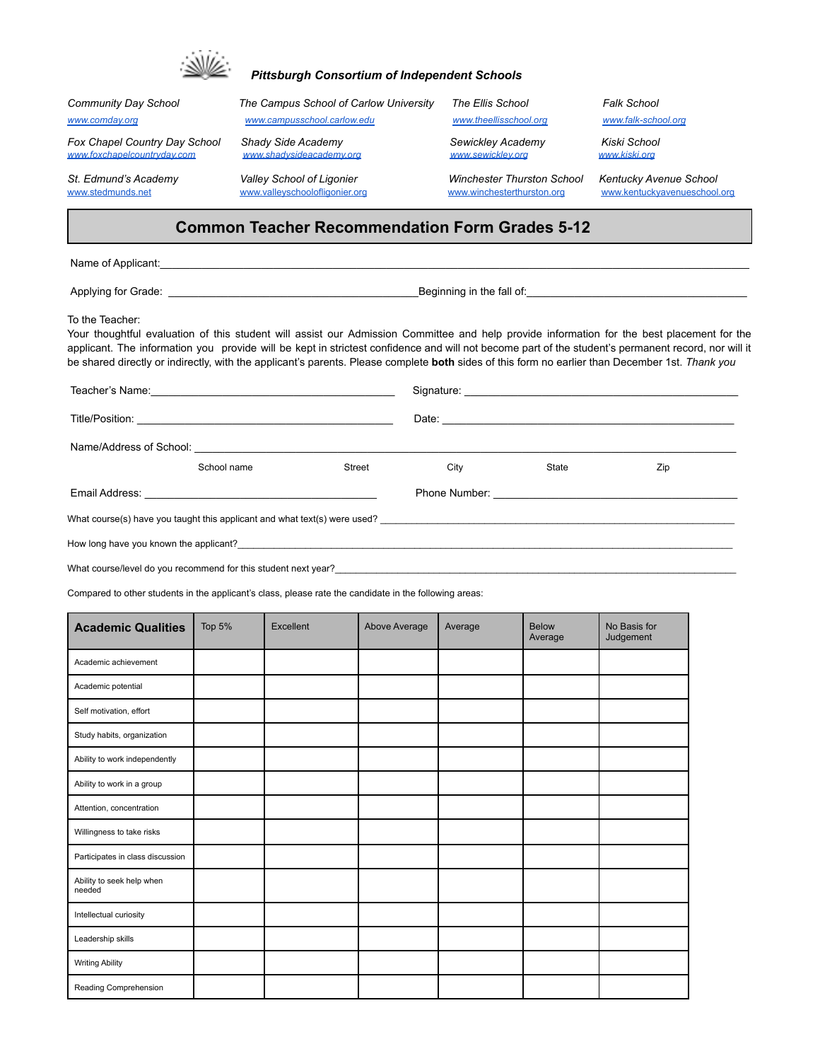

## *Pittsburgh Consortium of Independent Schools*

| Community Day School                                         | The Campus School of Carlow University                      | <b>The Ellis School</b>                                         | <b>Falk School</b>                                     |  |  |  |
|--------------------------------------------------------------|-------------------------------------------------------------|-----------------------------------------------------------------|--------------------------------------------------------|--|--|--|
| www.comday.org                                               | www.campusschool.carlow.edu                                 | www.theellisschool.org                                          | www.falk-school.org                                    |  |  |  |
| Fox Chapel Country Day School<br>www.foxchapelcountryday.com | Shady Side Academy<br>www.shadvsideacademv.org              | Sewickley Academy<br>www.sewicklev.org                          | Kiski School<br><u>www.kiski.ora</u>                   |  |  |  |
| St. Edmund's Academy<br>www.stedmunds.net                    | Valley School of Ligonier<br>www.valleyschoolofligonier.org | <b>Winchester Thurston School</b><br>www.winchesterthurston.org | Kentucky Avenue School<br>www.kentuckvavenueschool.org |  |  |  |
| <b>Common Teacher Recommendation Form Grades 5-12</b>        |                                                             |                                                                 |                                                        |  |  |  |

Name of Applicant:\_\_\_\_\_\_\_\_\_\_\_\_\_\_\_\_\_\_\_\_\_\_\_\_\_\_\_\_\_\_\_\_\_\_\_\_\_\_\_\_\_\_\_\_\_\_\_\_\_\_\_\_\_\_\_\_\_\_\_\_\_\_\_\_\_\_\_\_\_\_\_\_\_\_\_\_\_\_\_\_\_\_\_\_\_\_\_\_\_\_\_\_\_\_\_\_\_\_\_

Applying for Grade: \_\_\_\_\_\_\_\_\_\_\_\_\_\_\_\_\_\_\_\_\_\_\_\_\_\_\_\_\_\_\_\_\_\_\_\_\_\_\_\_\_\_Beginning in the fall of:\_\_\_\_\_\_\_\_\_\_\_\_\_\_\_\_\_\_\_\_\_\_\_\_\_\_\_\_\_\_\_\_\_\_\_\_\_

To the Teacher:

Your thoughtful evaluation of this student will assist our Admission Committee and help provide information for the best placement for the applicant. The information you provide will be kept in strictest confidence and will not become part of the student's permanent record, nor will it be shared directly or indirectly, with the applicant's parents. Please complete **both** sides of this form no earlier than December 1st. *Thank you*

| Teacher's Name: 1988 Communication of the Name of Teacher's Name:         |             |        |      |       |     |  |
|---------------------------------------------------------------------------|-------------|--------|------|-------|-----|--|
|                                                                           |             |        |      |       |     |  |
|                                                                           |             |        |      |       |     |  |
|                                                                           | School name | Street | City | State | Zip |  |
|                                                                           |             |        |      |       |     |  |
| What course(s) have you taught this applicant and what text(s) were used? |             |        |      |       |     |  |
| How long have you known the applicant?                                    |             |        |      |       |     |  |
|                                                                           |             |        |      |       |     |  |

What course/level do you recommend for this student next year?\_\_

Compared to other students in the applicant's class, please rate the candidate in the following areas:

| <b>Academic Qualities</b>           | Top 5% | Excellent | Above Average | Average | <b>Below</b><br>Average | No Basis for<br>Judgement |
|-------------------------------------|--------|-----------|---------------|---------|-------------------------|---------------------------|
| Academic achievement                |        |           |               |         |                         |                           |
| Academic potential                  |        |           |               |         |                         |                           |
| Self motivation, effort             |        |           |               |         |                         |                           |
| Study habits, organization          |        |           |               |         |                         |                           |
| Ability to work independently       |        |           |               |         |                         |                           |
| Ability to work in a group          |        |           |               |         |                         |                           |
| Attention, concentration            |        |           |               |         |                         |                           |
| Willingness to take risks           |        |           |               |         |                         |                           |
| Participates in class discussion    |        |           |               |         |                         |                           |
| Ability to seek help when<br>needed |        |           |               |         |                         |                           |
| Intellectual curiosity              |        |           |               |         |                         |                           |
| Leadership skills                   |        |           |               |         |                         |                           |
| <b>Writing Ability</b>              |        |           |               |         |                         |                           |
| Reading Comprehension               |        |           |               |         |                         |                           |